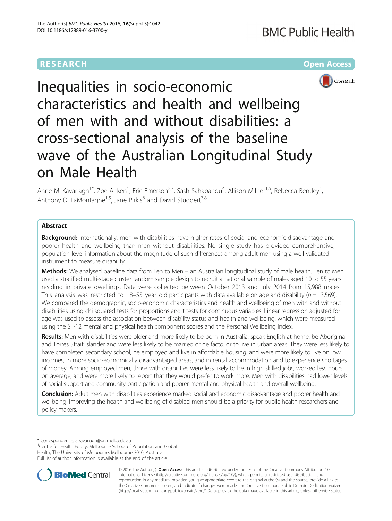# **RESEARCH CHEAR CHEAR CHEAR CHEAR CHEAR CHEAR CHEAR CHEAR CHEAR CHEAR CHEAR CHEAR CHEAR CHEAR CHEAR CHEAR CHEAR**



Inequalities in socio-economic characteristics and health and wellbeing of men with and without disabilities: a cross-sectional analysis of the baseline wave of the Australian Longitudinal Study on Male Health

Anne M. Kavanagh<sup>1\*</sup>, Zoe Aitken<sup>1</sup>, Eric Emerson<sup>2,3</sup>, Sash Sahabandu<sup>4</sup>, Allison Milner<sup>1,5</sup>, Rebecca Bentley<sup>1</sup> , Anthony D. LaMontagne<sup>1,5</sup>, Jane Pirkis<sup>6</sup> and David Studdert<sup>7,8</sup>

# Abstract

**Background:** Internationally, men with disabilities have higher rates of social and economic disadvantage and poorer health and wellbeing than men without disabilities. No single study has provided comprehensive, population-level information about the magnitude of such differences among adult men using a well-validated instrument to measure disability.

Methods: We analysed baseline data from Ten to Men – an Australian longitudinal study of male health. Ten to Men used a stratified multi-stage cluster random sample design to recruit a national sample of males aged 10 to 55 years residing in private dwellings. Data were collected between October 2013 and July 2014 from 15,988 males. This analysis was restricted to 18–55 year old participants with data available on age and disability ( $n = 13,569$ ). We compared the demographic, socio-economic characteristics and health and wellbeing of men with and without disabilities using chi squared tests for proportions and t tests for continuous variables. Linear regression adjusted for age was used to assess the association between disability status and health and wellbeing, which were measured using the SF-12 mental and physical health component scores and the Personal Wellbeing Index.

Results: Men with disabilities were older and more likely to be born in Australia, speak English at home, be Aboriginal and Torres Strait Islander and were less likely to be married or de facto, or to live in urban areas. They were less likely to have completed secondary school, be employed and live in affordable housing, and were more likely to live on low incomes, in more socio-economically disadvantaged areas, and in rental accommodation and to experience shortages of money. Among employed men, those with disabilities were less likely to be in high skilled jobs, worked less hours on average, and were more likely to report that they would prefer to work more. Men with disabilities had lower levels of social support and community participation and poorer mental and physical health and overall wellbeing.

**Conclusion:** Adult men with disabilities experience marked social and economic disadvantage and poorer health and wellbeing. Improving the health and wellbeing of disabled men should be a priority for public health researchers and policy-makers.

\* Correspondence: [a.kavanagh@unimelb.edu.au](mailto:a.kavanagh@unimelb.edu.au) <sup>1</sup>

<sup>1</sup> Centre for Health Equity, Melbourne School of Population and Global Health, The University of Melbourne, Melbourne 3010, Australia Full list of author information is available at the end of the article



© 2016 The Author(s). Open Access This article is distributed under the terms of the Creative Commons Attribution 4.0 International License [\(http://creativecommons.org/licenses/by/4.0/](http://creativecommons.org/licenses/by/4.0/)), which permits unrestricted use, distribution, and reproduction in any medium, provided you give appropriate credit to the original author(s) and the source, provide a link to the Creative Commons license, and indicate if changes were made. The Creative Commons Public Domain Dedication waiver [\(http://creativecommons.org/publicdomain/zero/1.0/](http://creativecommons.org/publicdomain/zero/1.0/)) applies to the data made available in this article, unless otherwise stated.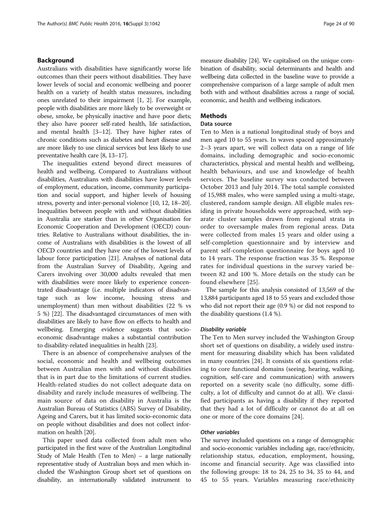# Background

Australians with disabilities have significantly worse life outcomes than their peers without disabilities. They have lower levels of social and economic wellbeing and poorer health on a variety of health status measures, including ones unrelated to their impairment [\[1](#page-7-0), [2\]](#page-7-0). For example, people with disabilities are more likely to be overweight or obese, smoke, be physically inactive and have poor diets; they also have poorer self-rated health, life satisfaction, and mental health [[3](#page-7-0)–[12\]](#page-7-0). They have higher rates of chronic conditions such as diabetes and heart disease and are more likely to use clinical services but less likely to use preventative health care [\[8](#page-7-0), [13](#page-7-0)–[17](#page-7-0)].

The inequalities extend beyond direct measures of health and wellbeing. Compared to Australians without disabilities, Australians with disabilities have lower levels of employment, education, income, community participation and social support, and higher levels of housing stress, poverty and inter-personal violence [\[10, 12](#page-7-0), [18](#page-7-0)–[20](#page-7-0)]. Inequalities between people with and without disabilities in Australia are starker than in other Organisation for Economic Cooperation and Development (OECD) countries. Relative to Australians without disabilities, the income of Australians with disabilities is the lowest of all OECD countries and they have one of the lowest levels of labour force participation [[21\]](#page-7-0). Analyses of national data from the Australian Survey of Disability, Ageing and Carers involving over 30,000 adults revealed that men with disabilities were more likely to experience concentrated disadvantage (i.e. multiple indicators of disadvantage such as low income, housing stress and unemployment) than men without disabilities (22 % vs 5 %) [[22](#page-7-0)]. The disadvantaged circumstances of men with disabilities are likely to have flow on effects to health and wellbeing. Emerging evidence suggests that socioeconomic disadvantage makes a substantial contribution to disability-related inequalities in health [[23](#page-7-0)].

There is an absence of comprehensive analyses of the social, economic and health and wellbeing outcomes between Australian men with and without disabilities that is in part due to the limitations of current studies. Health-related studies do not collect adequate data on disability and rarely include measures of wellbeing. The main source of data on disability in Australia is the Australian Bureau of Statistics (ABS) Survey of Disability, Ageing and Carers, but it has limited socio-economic data on people without disabilities and does not collect information on health [[20](#page-7-0)].

This paper used data collected from adult men who participated in the first wave of the Australian Longitudinal Study of Male Health (Ten to Men) – a large nationally representative study of Australian boys and men which included the Washington Group short set of questions on disability, an internationally validated instrument to measure disability [\[24\]](#page-7-0). We capitalised on the unique combination of disability, social determinants and health and wellbeing data collected in the baseline wave to provide a comprehensive comparison of a large sample of adult men both with and without disabilities across a range of social, economic, and health and wellbeing indicators.

# **Methods**

# Data source

Ten to Men is a national longitudinal study of boys and men aged 10 to 55 years. In waves spaced approximately 2–3 years apart, we will collect data on a range of life domains, including demographic and socio-economic characteristics, physical and mental health and wellbeing, health behaviours, and use and knowledge of health services. The baseline survey was conducted between October 2013 and July 2014. The total sample consisted of 15,988 males, who were sampled using a multi-stage, clustered, random sample design. All eligible males residing in private households were approached, with separate cluster samples drawn from regional strata in order to oversample males from regional areas. Data were collected from males 15 years and older using a self-completion questionnaire and by interview and parent self-completion questionnaire for boys aged 10 to 14 years. The response fraction was 35 %. Response rates for individual questions in the survey varied between 82 and 100 %. More details on the study can be found elsewhere [[25](#page-7-0)].

The sample for this analysis consisted of 13,569 of the 13,884 participants aged 18 to 55 years and excluded those who did not report their age (0.9 %) or did not respond to the disability questions (1.4 %).

## Disability variable

The Ten to Men survey included the Washington Group short set of questions on disability, a widely used instrument for measuring disability which has been validated in many countries [[24\]](#page-7-0). It consists of six questions relating to core functional domains (seeing, hearing, walking, cognition, self-care and communication) with answers reported on a severity scale (no difficulty, some difficulty, a lot of difficulty and cannot do at all). We classified participants as having a disability if they reported that they had a lot of difficulty or cannot do at all on one or more of the core domains [[24\]](#page-7-0).

## Other variables

The survey included questions on a range of demographic and socio-economic variables including age, race/ethnicity, relationship status, education, employment, housing, income and financial security. Age was classified into the following groups: 18 to 24, 25 to 34, 35 to 44, and 45 to 55 years. Variables measuring race/ethnicity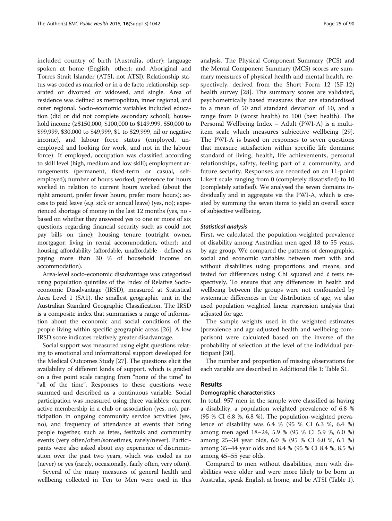included country of birth (Australia, other); language spoken at home (English, other); and Aboriginal and Torres Strait Islander (ATSI, not ATSI). Relationship status was coded as married or in a de facto relationship, separated or divorced or widowed, and single. Area of residence was defined as metropolitan, inner regional, and outer regional. Socio-economic variables included education (did or did not complete secondary school); household income (≥\$150,000, \$100,000 to \$149,999, \$50,000 to \$99,999, \$30,000 to \$49,999, \$1 to \$29,999, nil or negative income), and labour force status (employed, unemployed and looking for work, and not in the labour force). If employed, occupation was classified according to skill level (high, medium and low skill); employment arrangements (permanent, fixed-term or casual, selfemployed); number of hours worked; preference for hours worked in relation to current hours worked (about the right amount, prefer fewer hours, prefer more hours); access to paid leave (e.g. sick or annual leave) (yes, no); experienced shortage of money in the last 12 months (yes, no based on whether they answered yes to one or more of six questions regarding financial security such as could not pay bills on time); housing tenure (outright owner, mortgagor, living in rental accommodation, other); and housing affordability (affordable, unaffordable - defined as paying more than 30 % of household income on accommodation).

Area-level socio-economic disadvantage was categorised using population quintiles of the Index of Relative Socioeconomic Disadvantage (IRSD), measured at Statistical Area Level 1 (SA1), the smallest geographic unit in the Australian Standard Geographic Classification. The IRSD is a composite index that summarises a range of information about the economic and social conditions of the people living within specific geographic areas [[26](#page-7-0)]. A low IRSD score indicates relatively greater disadvantage.

Social support was measured using eight questions relating to emotional and informational support developed for the Medical Outcomes Study [\[27\]](#page-7-0). The questions elicit the availability of different kinds of support, which is graded on a five point scale ranging from "none of the time" to "all of the time". Responses to these questions were summed and described as a continuous variable. Social participation was measured using three variables: current active membership in a club or association (yes, no), participation in ongoing community service activities (yes, no), and frequency of attendance at events that bring people together, such as fetes, festivals and community events (very often/often/sometimes, rarely/never). Participants were also asked about any experience of discrimination over the past two years, which was coded as no (never) or yes (rarely, occasionally, fairly often, very often).

Several of the many measures of general health and wellbeing collected in Ten to Men were used in this analysis. The Physical Component Summary (PCS) and the Mental Component Summary (MCS) scores are summary measures of physical health and mental health, respectively, derived from the Short Form 12 (SF-12) health survey [[28](#page-7-0)]. The summary scores are validated, psychometrically based measures that are standardised to a mean of 50 and standard deviation of 10, and a range from 0 (worst health) to 100 (best health). The Personal Wellbeing Index – Adult (PWI-A) is a multiitem scale which measures subjective wellbeing [[29](#page-8-0)]. The PWI-A is based on responses to seven questions that measure satisfaction within specific life domains: standard of living, health, life achievements, personal relationships, safety, feeling part of a community, and future security. Responses are recorded on an 11-point Likert scale ranging from 0 (completely dissatisfied) to 10 (completely satisfied). We analysed the seven domains individually and in aggregate via the PWI-A, which is created by summing the seven items to yield an overall score of subjective wellbeing.

#### Statistical analysis

First, we calculated the population-weighted prevalence of disability among Australian men aged 18 to 55 years, by age group. We compared the patterns of demographic, social and economic variables between men with and without disabilities using proportions and means, and tested for differences using Chi squared and  $t$  tests respectively. To ensure that any differences in health and wellbeing between the groups were not confounded by systematic differences in the distribution of age, we also used population weighted linear regression analysis that adjusted for age.

The sample weights used in the weighted estimates (prevalence and age-adjusted health and wellbeing comparison) were calculated based on the inverse of the probability of selection at the level of the individual participant [[30\]](#page-8-0).

The number and proportion of missing observations for each variable are described in Additional file [1](#page-6-0): Table S1.

# Results

# Demographic characteristics

In total, 957 men in the sample were classified as having a disability, a population weighted prevalence of 6.8 % (95 % CI 6.8 %, 6.8 %). The population-weighted prevalence of disability was 6.4 % (95 % CI 6.3 %, 6.4 %) among men aged 18–24, 5.9 % (95 % CI 5.9 %, 6.0 %) among 25–34 year olds, 6.0 % (95 % CI 6.0 %, 6.1 %) among 35–44 year olds and 8.4 % (95 % CI 8.4 %, 8.5 %) among 45–55 year olds.

Compared to men without disabilities, men with disabilities were older and were more likely to be born in Australia, speak English at home, and be ATSI (Table [1](#page-3-0)).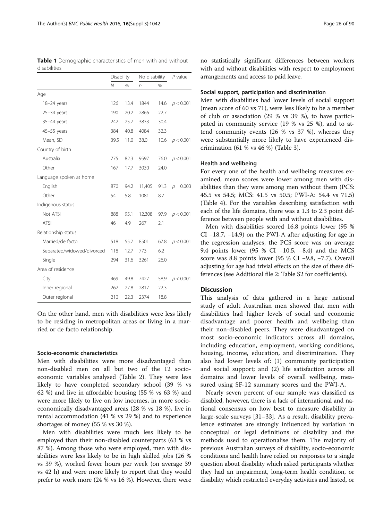<span id="page-3-0"></span>

| Table 1 Demographic characteristics of men with and without |  |  |  |
|-------------------------------------------------------------|--|--|--|
| disabilities                                                |  |  |  |

|                            | Disability   |      | No disability |      | $P$ value   |
|----------------------------|--------------|------|---------------|------|-------------|
|                            | $\mathcal N$ | %    | $\sqrt{n}$    | %    |             |
| Age                        |              |      |               |      |             |
| 18-24 years                | 126          | 13.4 | 1844          | 14.6 | p < 0.001   |
| 25-34 years                | 190          | 20.2 | 2866          | 22.7 |             |
| 35-44 years                | 242          | 25.7 | 3833          | 30.4 |             |
| 45-55 years                | 384          | 40.8 | 4084          | 32.3 |             |
| Mean, SD                   | 39.5         | 11.0 | 38.0          | 10.6 | p < 0.001   |
| Country of birth           |              |      |               |      |             |
| Australia                  | 775          | 82.3 | 9597          | 76.0 | p < 0.001   |
| Other                      | 167          | 17.7 | 3030          | 74.0 |             |
| Language spoken at home    |              |      |               |      |             |
| English                    | 870          | 94.2 | 11,405        | 91.3 | $p = 0.003$ |
| Other                      | 54           | 5.8  | 1081          | 8.7  |             |
| Indigenous status          |              |      |               |      |             |
| Not ATSI                   | 888          | 95.1 | 12,308        | 97.9 | p < 0.001   |
| <b>ATSI</b>                | 46           | 4.9  | 267           | 2.1  |             |
| Relationship status        |              |      |               |      |             |
| Married/de facto           | 518          | 55.7 | 8501          | 67.8 | p < 0.001   |
| Separated/widowed/divorced | 118          | 12.7 | 773           | 6.2  |             |
| Single                     | 294          | 31.6 | 3261          | 26.0 |             |
| Area of residence          |              |      |               |      |             |
| City                       | 469          | 49.8 | 7427          | 58.9 | p < 0.001   |
| Inner regional             | 262          | 27.8 | 2817          | 22.3 |             |
| Outer regional             | 210          | 22.3 | 2374          | 18.8 |             |

On the other hand, men with disabilities were less likely to be residing in metropolitan areas or living in a married or de facto relationship.

## Socio-economic characteristics

Men with disabilities were more disadvantaged than non-disabled men on all but two of the 12 socioeconomic variables analysed (Table [2](#page-4-0)). They were less likely to have completed secondary school (39 % vs 62 %) and live in affordable housing (55 % vs 63 %) and were more likely to live on low incomes, in more socioeconomically disadvantaged areas (28 % vs 18 %), live in rental accommodation (41 % vs 29 %) and to experience shortages of money (55 % vs 30 %).

Men with disabilities were much less likely to be employed than their non-disabled counterparts (63 % vs 87 %). Among those who were employed, men with disabilities were less likely to be in high skilled jobs (26 % vs 39 %), worked fewer hours per week (on average 39 vs 42 h) and were more likely to report that they would prefer to work more (24 % vs 16 %). However, there were no statistically significant differences between workers with and without disabilities with respect to employment arrangements and access to paid leave.

# Social support, participation and discrimination

Men with disabilities had lower levels of social support (mean score of 60 vs 71), were less likely to be a member of club or association (29 % vs 39 %), to have participated in community service (19 % vs 25 %), and to attend community events (26 % vs 37 %), whereas they were substantially more likely to have experienced discrimination (61 % vs 46 %) (Table [3\)](#page-4-0).

## Health and wellbeing

For every one of the health and wellbeing measures examined, mean scores were lower among men with disabilities than they were among men without them (PCS: 45.5 vs 54.5; MCS: 41.5 vs 50.5; PWI-A: 54.4 vs 71.5) (Table [4](#page-5-0)). For the variables describing satisfaction with each of the life domains, there was a 1.3 to 2.3 point difference between people with and without disabilities.

Men with disabilities scored 16.8 points lower (95 % CI −18.7, −14.9) on the PWI-A after adjusting for age in the regression analyses, the PCS score was on average 9.4 points lower (95 % CI −10.5, −8.4) and the MCS score was 8.8 points lower (95 % CI −9.8, −7.7). Overall adjusting for age had trivial effects on the size of these differences (see Additional file [2](#page-6-0): Table S2 for coefficients).

#### **Discussion**

This analysis of data gathered in a large national study of adult Australian men showed that men with disabilities had higher levels of social and economic disadvantage and poorer health and wellbeing than their non-disabled peers. They were disadvantaged on most socio-economic indicators across all domains, including education, employment, working conditions, housing, income, education, and discrimination. They also had lower levels of: (1) community participation and social support; and (2) life satisfaction across all domains and lower levels of overall wellbeing, measured using SF-12 summary scores and the PWI-A.

Nearly seven percent of our sample was classified as disabled, however, there is a lack of international and national consensus on how best to measure disability in large-scale surveys [[31](#page-8-0)–[33](#page-8-0)]. As a result, disability prevalence estimates are strongly influenced by variation in conceptual or legal definitions of disability and the methods used to operationalise them. The majority of previous Australian surveys of disability, socio-economic conditions and health have relied on responses to a single question about disability which asked participants whether they had an impairment, long-term health condition, or disability which restricted everyday activities and lasted, or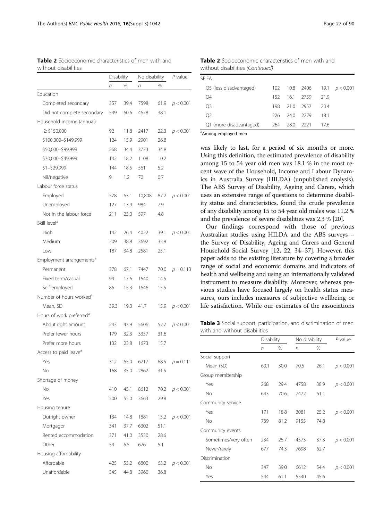|                                      | Disability |      | No disability |      | P value     |
|--------------------------------------|------------|------|---------------|------|-------------|
|                                      | n          | %    | n             | %    |             |
| Education                            |            |      |               |      |             |
| Completed secondary                  | 357        | 39.4 | 7598          | 61.9 | p < 0.001   |
| Did not complete secondary           | 549        | 60.6 | 4678          | 38.1 |             |
| Household income (annual)            |            |      |               |      |             |
| $\geq$ \$150,000                     | 92         | 11.8 | 2417          | 22.3 | p < 0.001   |
| \$100,000-\$149,999                  | 124        | 15.9 | 2901          | 26.8 |             |
| \$50,000–\$99,999                    | 268        | 34.4 | 3773          | 34.8 |             |
| \$30,000-\$49,999                    | 142        | 18.2 | 1108          | 10.2 |             |
| \$1-\$29,999                         | 144        | 18.5 | 561           | 5.2  |             |
| Nil/negative                         | 9          | 1.2  | 70            | 0.7  |             |
| Labour force status                  |            |      |               |      |             |
| Employed                             | 578        | 63.1 | 10,808        | 87.2 | p < 0.001   |
| Unemployed                           | 127        | 13.9 | 984           | 7.9  |             |
| Not in the labour force              | 211        | 23.0 | 597           | 4.8  |             |
| Skill level <sup>a</sup>             |            |      |               |      |             |
| High                                 | 142        | 26.4 | 4022          | 39.1 | p < 0.001   |
| Medium                               | 209        | 38.8 | 3692          | 35.9 |             |
| l ow                                 | 187        | 34.8 | 2581          | 25.1 |             |
| Employment arrangements <sup>a</sup> |            |      |               |      |             |
| Permanent                            | 378        | 67.1 | 7447          | 70.0 | $p = 0.113$ |
| Fixed term/casual                    | 99         | 17.6 | 1540          | 14.5 |             |
| Self employed                        | 86         | 15.3 | 1646          | 15.5 |             |
| Number of hours worked <sup>a</sup>  |            |      |               |      |             |
| Mean, SD                             | 39.3       | 19.3 | 41.7          | 15.9 | p < 0.001   |
| Hours of work preferred <sup>a</sup> |            |      |               |      |             |
| About right amount                   | 243        | 43.9 | 5606          | 52.7 | p < 0.001   |
| Prefer fewer hours                   | 179        | 32.3 | 3357          | 31.6 |             |
| Prefer more hours                    | 132        | 23.8 | 1673          | 15.7 |             |
| Access to paid leave <sup>a</sup>    |            |      |               |      |             |
| Yes                                  | 312        | 65.0 | 6217          | 68.5 | $p = 0.111$ |
| No                                   | 168        | 35.0 | 2862          | 31.5 |             |
| Shortage of money                    |            |      |               |      |             |
| No                                   | 410        | 45.1 | 8612          | 70.2 | p < 0.001   |
| Yes                                  | 500        | 55.0 | 3663          | 29.8 |             |
| Housing tenure                       |            |      |               |      |             |
| Outright owner                       | 134        | 14.8 | 1881          | 15.2 | p < 0.001   |
| Mortgagor                            | 341        | 37.7 | 6302          | 51.1 |             |
| Rented accommodation                 | 371        | 41.0 | 3530          | 28.6 |             |
| Other                                | 59         | 6.5  | 626           | 5.1  |             |
| Housing affordability                |            |      |               |      |             |
| Affordable                           | 425        | 55.2 | 6800          | 63.2 | p < 0.001   |
| Unaffordable                         | 345        | 44.8 | 3960          | 36.8 |             |

<span id="page-4-0"></span>Table 2 Socioeconomic characteristics of men with and without disabilities

Table 2 Socioeconomic characteristics of men with and without disabilities (Continued)

| <b>SFIFA</b>                    |     |      |           |      |           |
|---------------------------------|-----|------|-----------|------|-----------|
| Q5 (less disadvantaged)         | 102 |      | 10.8 2406 | 19.1 | p < 0.001 |
| Q4                              | 152 | 16.1 | 2759      | 219  |           |
| Q3                              | 198 | 21 O | 2957      | 234  |           |
| Q <sub>2</sub>                  | 226 | 24.0 | 2279      | 18.1 |           |
| Q1 (more disadvantaged)         | 264 | 28.0 | -2221     | 176  |           |
| <sup>a</sup> Among employed men |     |      |           |      |           |

was likely to last, for a period of six months or more. Using this definition, the estimated prevalence of disability among 15 to 54 year old men was 18.1 % in the most recent wave of the Household, Income and Labour Dynamics in Australia Survey (HILDA) (unpublished analysis). The ABS Survey of Disability, Ageing and Carers, which uses an extensive range of questions to determine disability status and characteristics, found the crude prevalence of any disability among 15 to 54 year old males was 11.2 % and the prevalence of severe disabilities was 2.3 % [[20](#page-7-0)].

Our findings correspond with those of previous Australian studies using HILDA and the ABS surveys – the Survey of Disability, Ageing and Carers and General Household Social Survey [\[12, 22](#page-7-0), [34](#page-8-0)–[37\]](#page-8-0). However, this paper adds to the existing literature by covering a broader range of social and economic domains and indicators of health and wellbeing and using an internationally validated instrument to measure disability. Moreover, whereas previous studies have focused largely on health status measures, ours includes measures of subjective wellbeing or life satisfaction. While our estimates of the associations

Table 3 Social support, participation, and discrimination of men with and without disabilities

|                      | Disability |      | No disability |      | $P$ value |
|----------------------|------------|------|---------------|------|-----------|
|                      | n          | %    | n             | %    |           |
| Social support       |            |      |               |      |           |
| Mean (SD)            | 60.1       | 30.0 | 70.5          | 26.1 | p < 0.001 |
| Group membership     |            |      |               |      |           |
| Yes                  | 268        | 29.4 | 4758          | 38.9 | p < 0.001 |
| No                   | 643        | 70.6 | 7472          | 61.1 |           |
| Community service    |            |      |               |      |           |
| Yes                  | 171        | 18.8 | 3081          | 25.2 | p < 0.001 |
| <b>No</b>            | 739        | 81.2 | 9155          | 74.8 |           |
| Community events     |            |      |               |      |           |
| Sometimes/very often | 234        | 25.7 | 4573          | 37.3 | p < 0.001 |
| Never/rarely         | 677        | 74.3 | 7698          | 62.7 |           |
| Discrimination       |            |      |               |      |           |
| No                   | 347        | 39.0 | 6612          | 54.4 | p < 0.001 |
| Yes                  | 544        | 61.1 | 5540          | 45.6 |           |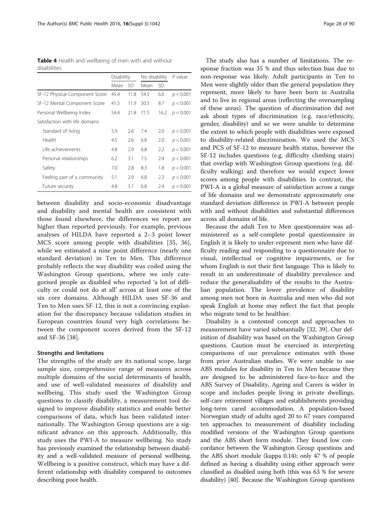<span id="page-5-0"></span>

| Table 4 Health and wellbeing of men with and without |  |  |  |  |
|------------------------------------------------------|--|--|--|--|
| disabilities                                         |  |  |  |  |

|                                | Disability |           | No disability |      | P value   |
|--------------------------------|------------|-----------|---------------|------|-----------|
|                                | Mean       | <b>SD</b> | Mean          | SD   |           |
| SF-12 Physical Component Score | 45.4       | 11.8      | 54.5          | 6.6  | p < 0.001 |
| SF-12 Mental Component Score   | 41.5       | 11.9      | 50.5          | 8.7  | p < 0.001 |
| Personal Wellbeing Index       | 54.4       | 21.8      | 71.5          | 16.2 | p < 0.001 |
| Satisfaction with life domains |            |           |               |      |           |
| Standard of living             | 5.9        | 2.6       | 7.4           | 2.0  | p < 0.001 |
| Health                         | 4.5        | 2.6       | 6.8           | 2.0  | p < 0.001 |
| Life achievements              | 4.8        | 2.9       | 6.8           | 2.2  | p < 0.001 |
| Personal relationships         | 6.2        | 3.1       | 7.5           | 2.4  | p < 0.001 |
| Safety                         | 7.0        | 2.8       | 8.3           | 1.8  | p < 0.001 |
| Feeling part of a community    | 5.1        | 2.9       | 6.8           | 2.3  | p < 0.001 |
| Future security                | 4.8        | 3.1       | 6.8           | 2.4  | p < 0.001 |

between disability and socio-economic disadvantage and disability and mental health are consistent with those found elsewhere, the differences we report are higher than reported previously. For example, previous analyses of HILDA have reported a 2–3 point lower MCS score among people with disabilities [[35, 36](#page-8-0)], while we estimated a nine point difference (nearly one standard deviation) in Ten to Men. This difference probably reflects the way disability was coded using the Washington Group questions, where we only categorised people as disabled who reported 'a lot of difficulty or could not do at all' across at least one of the six core domains. Although HILDA uses SF-36 and Ten to Men uses SF-12, this is not a convincing explanation for the discrepancy because validation studies in European countries found very high correlations between the component scores derived from the SF-12 and SF-36 [\[38](#page-8-0)].

#### Strengths and limitations

The strengths of the study are its national scope, large sample size, comprehensive range of measures across multiple domains of the social determinants of health, and use of well-validated measures of disability and wellbeing. This study used the Washington Group questions to classify disability, a measurement tool designed to improve disability statistics and enable better comparisons of data, which has been validated internationally. The Washington Group questions are a significant advance on this approach. Additionally, this study uses the PWI-A to measure wellbeing. No study has previously examined the relationship between disability and a well-validated measure of personal wellbeing. Wellbeing is a positive construct, which may have a different relationship with disability compared to outcomes describing poor health.

The study also has a number of limitations. The response fraction was 35 % and thus selection bias due to non-response was likely. Adult participants in Ten to Men were slightly older than the general population they represent, more likely to have been born in Australia and to live in regional areas (reflecting the oversampling of these areas). The question of discrimination did not ask about types of discrimination (e.g. race/ethnicity, gender, disability) and so we were unable to determine the extent to which people with disabilities were exposed to disability-related discrimination. We used the MCS and PCS of SF-12 to measure health status, however the SF-12 includes questions (e.g. difficulty climbing stairs) that overlap with Washington Group questions (e.g. difficulty walking) and therefore we would expect lower scores among people with disabilities. In contrast, the PWI-A is a global measure of satisfaction across a range of life domains and we demonstrate approximately one standard deviation difference in PWI-A between people with and without disabilities and substantial differences across all domains of life.

Because the adult Ten to Men questionnaire was administered as a self-complete postal questionnaire in English it is likely to under-represent men who have difficulty reading and responding to a questionnaire due to visual, intellectual or cognitive impairments, or for whom English is not their first language. This is likely to result in an underestimate of disability prevalence and reduce the generalisability of the results to the Australian population. The lower prevalence of disability among men not born in Australia and men who did not speak English at home may reflect the fact that people who migrate tend to be healthier.

Disability is a contested concept and approaches to measurement have varied substantially [[32](#page-8-0), [39](#page-8-0)]. Our definition of disability was based on the Washington Group questions. Caution must be exercised in interpreting comparisons of our prevalence estimates with those from prior Australian studies. We were unable to use ABS modules for disability in Ten to Men because they are designed to be administered face-to-face and the ABS Survey of Disability, Ageing and Carers is wider in scope and includes people living in private dwellings, self-care retirement villages and establishments providing long-term cared accommodation. A population-based Norwegian study of adults aged 20 to 67 years compared ten approaches to measurement of disability including modified versions of the Washington Group questions and the ABS short form module. They found low concordance between the Washington Group questions and the ABS short module (kappa 0.14); only 47 % of people defined as having a disability using either approach were classified as disabled using both (this was 63 % for severe disability) [[40](#page-8-0)]. Because the Washington Group questions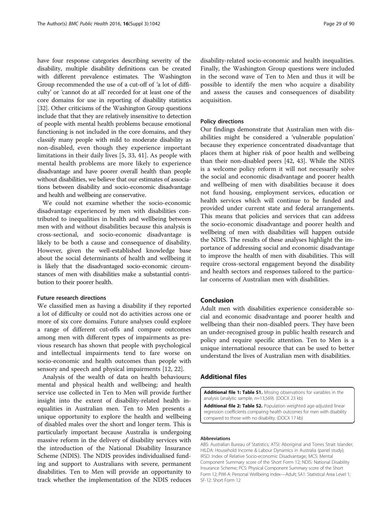<span id="page-6-0"></span>have four response categories describing severity of the disability, multiple disability definitions can be created with different prevalence estimates. The Washington Group recommended the use of a cut-off of 'a lot of difficulty' or 'cannot do at all' recorded for at least one of the core domains for use in reporting of disability statistics [[32](#page-8-0)]. Other criticisms of the Washington Group questions include that that they are relatively insensitive to detection of people with mental health problems because emotional functioning is not included in the core domains, and they classify many people with mild to moderate disability as non-disabled, even though they experience important limitations in their daily lives [\[5,](#page-7-0) [33, 41\]](#page-8-0). As people with mental health problems are more likely to experience disadvantage and have poorer overall health than people without disabilities, we believe that our estimates of associations between disability and socio-economic disadvantage and health and wellbeing are conservative.

We could not examine whether the socio-economic disadvantage experienced by men with disabilities contributed to inequalities in health and wellbeing between men with and without disabilities because this analysis is cross-sectional, and socio-economic disadvantage is likely to be both a cause and consequence of disability. However, given the well-established knowledge base about the social determinants of health and wellbeing it is likely that the disadvantaged socio-economic circumstances of men with disabilities make a substantial contribution to their poorer health.

# Future research directions

We classified men as having a disability if they reported a lot of difficulty or could not do activities across one or more of six core domains. Future analyses could explore a range of different cut-offs and compare outcomes among men with different types of impairments as previous research has shown that people with psychological and intellectual impairments tend to fare worse on socio-economic and health outcomes than people with sensory and speech and physical impairments [[12, 22\]](#page-7-0).

Analysis of the wealth of data on health behaviours; mental and physical health and wellbeing; and health service use collected in Ten to Men will provide further insight into the extent of disability-related health inequalities in Australian men. Ten to Men presents a unique opportunity to explore the health and wellbeing of disabled males over the short and longer term. This is particularly important because Australia is undergoing massive reform in the delivery of disability services with the introduction of the National Disability Insurance Scheme (NDIS). The NDIS provides individualised funding and support to Australians with severe, permanent disabilities. Ten to Men will provide an opportunity to track whether the implementation of the NDIS reduces

disability-related socio-economic and health inequalities. Finally, the Washington Group questions were included in the second wave of Ten to Men and thus it will be possible to identify the men who acquire a disability and assess the causes and consequences of disability acquisition.

# Policy directions

Our findings demonstrate that Australian men with disabilities might be considered a 'vulnerable population' because they experience concentrated disadvantage that places them at higher risk of poor health and wellbeing than their non-disabled peers [\[42](#page-8-0), [43\]](#page-8-0). While the NDIS is a welcome policy reform it will not necessarily solve the social and economic disadvantage and poorer health and wellbeing of men with disabilities because it does not fund housing, employment services, education or health services which will continue to be funded and provided under current state and federal arrangements. This means that policies and services that can address the socio-economic disadvantage and poorer health and wellbeing of men with disabilities will happen outside the NDIS. The results of these analyses highlight the importance of addressing social and economic disadvantage to improve the health of men with disabilities. This will require cross-sectoral engagement beyond the disability and health sectors and responses tailored to the particular concerns of Australian men with disabilities.

# Conclusion

Adult men with disabilities experience considerable social and economic disadvantage and poorer health and wellbeing than their non-disabled peers. They have been an under-recognised group in public health research and policy and require specific attention. Ten to Men is a unique international resource that can be used to better understand the lives of Australian men with disabilities.

# Additional files

[Additional file 1: Table S1.](dx.doi.org/10.1186/s12889-016-3700-y) Missing observations for variables in the analysis (analytic sample, n=13,569). (DOCX 23 kb)

[Additional file 2: Table S2.](dx.doi.org/10.1186/s12889-016-3700-y) Population weighted age-adjusted linear regression coefficients comparing health outcomes for men with disability compared to those with no disability. (DOCX 17 kb)

#### Abbreviations

ABS: Australian Bureau of Statistics; ATSI: Aboriginal and Torres Strait Islander; HILDA: Household Income & Labour Dynamics in Australia (panel study); IRSD: Index of Relative Socio-economic Disadvantage; MCS: Mental Component Summary score of the Short Form 12; NDIS: National Disability Insurance Scheme; PCS: Physical Component Summary score of the Short Form 12; PWI-A: Personal Wellbeing Index—Adult; SA1: Statistical Area Level 1; SF-12: Short Form 12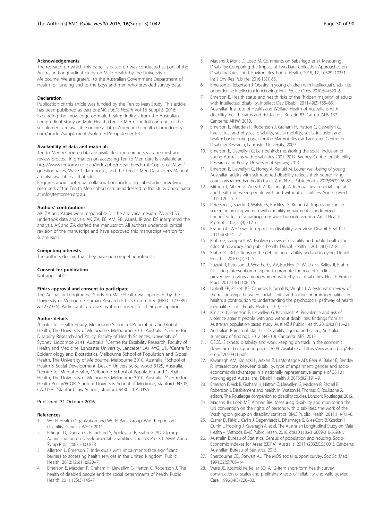#### <span id="page-7-0"></span>Acknowledgements

The research on which this paper is based on was conducted as part of the Australian Longitudinal Study on Male Health by the University of Melbourne. We are grateful to the Australian Government Department of Health for funding and to the boys and men who provided survey data.

#### Declaration

Publication of this article was funded by the Ten to Men Study. This article has been published as part of BMC Public Health Vol 16 Suppl 3, 2016: Expanding the knowledge on male health: findings from the Australian Longitudinal Study on Male Health (Ten to Men). The full contents of the supplement are available online at [https://bmcpublichealth.biomedcentral.](https://bmcpublichealth.biomedcentral.com/articles/supplements/volume-16-supplement-3) [com/articles/supplements/volume-16-supplement-3.](https://bmcpublichealth.biomedcentral.com/articles/supplements/volume-16-supplement-3)

#### Availability of data and materials

Ten to Men response data are available to researchers via a request and review process. Information on accessing Ten to Men data is available at [http://www.tentomen.org.au/index.php/researchers.html.](http://www.tentomen.org.au/index.php/researchers.html) Copies of Wave 1 questionnaires, Wave 1 data books, and the Ten to Men Data User's Manual are also available at that site.

Enquires about potential collaborations including sub-studies involving members of the Ten to Men cohort can be addressed to the Study Coordinator at info@tentomen.org.au.

#### Authors' contributions

AK, ZA and ALaM were responsible for the analytical design. ZA and SS undertook data analysis. AK, ZA, EE, AM, RB, ALaM, JP and DS interpreted the analysis. AK and ZA drafted the manuscript. All authors undertook critical revision of the manuscript and have approved this manuscript version for submission.

#### Competing interests

The authors declare that they have no competing interests.

#### Consent for publication

Not applicable.

#### Ethics approval and consent to participate

The Australian Longitudinal Study on Male Health was approved by the University of Melbourne Human Research Ethics Committee (HREC 1237897 & 1237376). Participants provided written consent for their participation.

#### Author details

<sup>1</sup> Centre for Health Equity, Melbourne School of Population and Global Health, The University of Melbourne, Melbourne 3010, Australia. <sup>2</sup>Centre for Disability Research and Policy, Faculty of Health Sciences, University of Sydney, Lidcombe 2141, Australia. <sup>3</sup>Centre for Disability Research, Faculty of Health and Medicine, Lancaster University, Lancaster LA1 4YG, UK. <sup>4</sup>Centre for Epidemiology and Biostatistics, Melbourne School of Population and Global Health, The University of Melbourne, Melbourne 3010, Australia. <sup>5</sup>School of Health & Social Development, Deakin University, Burwood 3125, Australia. <sup>6</sup>Centre for Mental Health, Melbourne School of Population and Global Health, The University of Melbourne, Melbourne 3010, Australia. <sup>7</sup>Centre for Health Policy/PCOR, Stanford University School of Medicine, Stanford 94305, CA, USA. <sup>8</sup>Stanford Law School, Stanford 94305, CA, USA.

# Published: 31 October 2016

#### References

- 1. World Health Organization and World Bank Group. World report on disability. Geneva: WHO; 2011.
- 2. Ettinger D, Duncan C, Blanchard S, Appleyard R, Krahn G. ADDUp.org: Administration on Developmental Disabilities Updates Project. AMIA Annu Symp Proc. 2003;2003:838.
- Allerton L, Emerson E. Individuals with impairments face significant barriers to accessing health services in the United Kingdom. Public Health. 2012;126(11):920–7.
- 4. Emerson E, Madden R, Graham H, Llewellyn G, Hatton C, Robertson J. The health of disabled people and the social determinants of health. Public Health. 2011;125(3):145–7.
- 5. Madans J, Mont D, Loeb M. Comments on Sabariego et al. Measuring Disability: Comparing the Impact of Two Data Collection Approaches on Disability Rates. Int. J. Environ. Res. Public Health, 2015, 12, 10329–10351. Int J Env Res Pub He. 2016;13(1):65.
- 6. Emerson E, Robertson J. Obesity in young children with intellectual disabilities or borderline intellectual functioning. Int J Pediatr Obes. 2010;5(4):320–6.
- 7. Emerson E. Health status and health risks of the "hidden majority" of adults with intellectual disability. Intellect Dev Disabil. 2011;49(3):155–65.
- 8. Australian Institute of Health and Welfare. Health of Australians with disability: health status and risk factors. Bulletin 83. Cat no. AUS 132. Canberra: AIHW; 2010.
- 9. Emerson E, Madden R, Robertson J, Graham H, Hatton C, Llewellyn G. Intellectual and physical disability, social mobility, social inclusion and health: background paper for the Marmot Review. Lancaster: Centre for Disability Research, Lancaster University; 2009.
- 10. Emerson E, Llewellyn G. Left behind: monitoring the social inclusion of young Australians with disabilities 2001–2012. Sydney: Centre for Disability Research and Policy, University of Sydney; 2014.
- 11. Emerson E, Llewellyn G, Honey A, Kariuki M. Lower well-being of young Australian adults with self-reported disability reflects their poorer living conditions rather than health issues. Aust N Z J Public Health. 2012;36(2):176–82.
- 12. Mithen J, Aitken Z, Ziersch A, Kavanagh A. Inequalities in social capital and health between people with and without disabilities. Soc Sci Med. 2015;126:26–35.
- 13. Peterson JJ, Suzuki R, Walsh ES, Buckley DI, Krahn GL. Improving cancer screening among women with mobility impairments: randomized controlled trial of a participatory workshop intervention. Am J Health Promot. 2012;26(4):212–6.
- 14. Krahn GL. WHO world report on disability: a review. Disabil Health J. 2011;4(3):141–2.
- 15. Krahn G, Campbell VA. Evolving views of disability and public health: the roles of advocacy and public health. Disabil Health J. 2011;4(1):12–8.
- 16. Krahn GL. Reflections on the debate on disability and aid in dying. Disabil Health J. 2010;3(1):51–5.
- 17. Suzuki R, Peterson JJ, Weatherby AV, Buckley DI, Walsh ES, Kailes JI, Krahn GL. Using intervention mapping to promote the receipt of clinical preventive services among women with physical disabilities. Health Promot Pract. 2012;13(1):106–15.
- 18. Uphoff EP, Pickett KE, Cabieses B, Small N, Wright J. A systematic review of the relationships between social capital and socioeconomic inequalities in health: a contribution to understanding the psychosocial pathway of health inequalities. Int J Equity Health. 2013;12:54.
- 19. Krnjacki L, Emerson E, Llewellyn G, Kavanagh A. Prevalence and risk of violence against people with and without disabilities: findings from an Australian population-based study. Aust NZ J Public Health. 2016;40(1):16–21.
- 20. Australian Bureau of Statistics. Disability, ageing and carers, Australia: summary of findings, 2012 (4430.0). Canberra: ABS; 2013.
- 21. OECD. Sickness, disability and work: keeping on track in the economic downturn - background paper. 2009. Available at [https://www.oecd.org/els/](https://www.oecd.org/els/emp/42699911.pdf) [emp/42699911.pdf](https://www.oecd.org/els/emp/42699911.pdf).
- 22. Kavanagh AM, Krnjacki L, Aitken Z, LaMontagne AD, Beer A, Baker E, Bentley R. Intersections between disability, type of impairment, gender and socioeconomic disadvantage in a nationally representative sample of 33,101 working-aged Australians. Disabil Health J. 2015;8(2):191–9.
- 23. Emerson E, Vick B, Graham H, Hatton C, Llewellyn G, Madden R, Rechel B, Robertson J. Disablement and health. In: Watson N, Thomas C, Roulstone A, editors. The Routledge companion to disability studies. London: Routledge; 2012.
- 24. Madans JH, Loeb ME, Altman BM. Measuring disability and monitoring the UN convention on the rights of persons with disabilities: the work of the Washington group on disability statistics. BMC Public Health. 2011;11(4):1–8.
- 25. Currier D, Pirkis J, Carlin J, Degenhardt L, Dharmage S, Giles-Corti B, Gordon I, Gurrin L, Hocking J, Kavanagh A, et al. The Australian Longitudinal Study on Male Health – Methods. BMC Public Health. 2016. doi[:10.1186/s12889-016-3698-1.](http://dx.doi.org/10.1186/s12889-016-3698-1)
- 26. Australin Bureau of Statistics. Census of population and housing: Socio-Economic Indexes for Areas (SEIFA), Australia, 2011 (2033.0.55.001). Canberra: Australian Bureau of Statistics; 2013.
- 27. Sherbourne CD, Stewart AL. The MOS social support survey. Soc Sci Med. 1991;32(6):705–14.
- 28. Ware JE, Kosinski M, Keller SD. A 12-item short-form health survey: construction of scales and preliminary tests of reliability and validity. Med Care. 1996;34(3):220–33.